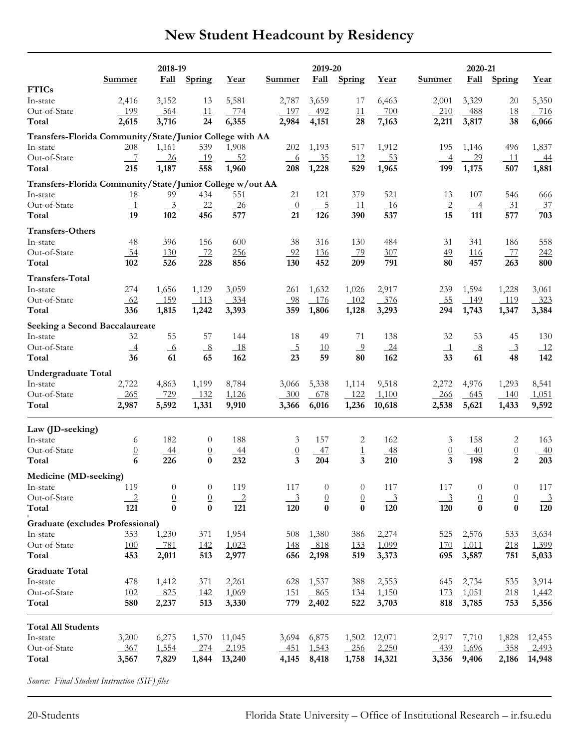|  |  | New Student Headcount by Residency |  |  |
|--|--|------------------------------------|--|--|
|--|--|------------------------------------|--|--|

|                                                           | 2018-19        |                           |                | 2019-20        |                |                |                  | 2020-21                   |                           |                  |                 |                |
|-----------------------------------------------------------|----------------|---------------------------|----------------|----------------|----------------|----------------|------------------|---------------------------|---------------------------|------------------|-----------------|----------------|
|                                                           | <b>Summer</b>  | <b>Fall</b>               | Spring         | Year           | Summer         | <b>Fall</b>    | Spring           | Year                      | Summer                    | <b>Fall</b>      | Spring          | Year           |
| <b>FTICs</b>                                              |                |                           |                |                |                |                |                  |                           |                           |                  |                 |                |
| In-state                                                  | 2,416          | 3,152                     | 13             | 5,581          | 2,787          | 3,659          | 17               | 6,463                     | 2,001                     | 3,329            | 20              | 5,350          |
| Out-of-State                                              | 199            | 564                       | 11             | 774            | 197            | 492            | 11               | 700                       | 210                       | - 488            | 18              | 716            |
| Total                                                     | 2,615          | 3,716                     | 24             | 6,355          | 2,984          | 4,151          | 28               | 7,163                     | 2,211                     | 3,817            | 38              | 6,066          |
| Transfers-Florida Community/State/Junior College with AA  |                |                           |                |                |                |                |                  |                           |                           |                  |                 |                |
| In-state                                                  | 208            | 1,161                     | 539            | 1,908          | 202            | 1,193          | 517              | 1,912                     | 195                       | 1,146            | 496             | 1,837          |
| Out-of-State                                              | $\overline{7}$ | 26                        | 19             | $-52$          | $-6$           | 35             | 12               | 53                        | $\overline{\phantom{0}4}$ | 29               | 11              | $-44$          |
| Total                                                     | 215            | 1,187                     | 558            | 1,960          | 208            | 1,228          | 529              | 1,965                     | 199                       | 1,175            | 507             | 1,881          |
| Transfers-Florida Community/State/Junior College w/out AA |                |                           |                |                |                |                |                  |                           |                           |                  |                 |                |
| In-state                                                  | 18             | 99                        | 434            | 551            | 21             | 121            | 379              | 521                       | 13                        | 107              | 546             | 666            |
| Out-of-State                                              | $\perp$        | $\overline{\phantom{0}3}$ | $-22$          | $-26$          | $\sqrt{0}$     | $-5$           | $\_11$           | $-16$                     | $\overline{2}$            | $-4$             | $-31$           | 37             |
| Total                                                     | 19             | 102                       | 456            | 577            | 21             | 126            | 390              | 537                       | 15                        | 111              | 577             | 703            |
| <b>Transfers-Others</b>                                   |                |                           |                |                |                |                |                  |                           |                           |                  |                 |                |
| In-state                                                  | 48             | 396                       | 156            | 600            | 38             | 316            | 130              | 484                       | 31                        | 341              | 186             | 558            |
| Out-of-State                                              | 54             | 130                       | 72             | 256            | 92             | 136            | 79               | 307                       | 49                        | 116              | -77             | 242            |
| Total                                                     | 102            | 526                       | 228            | 856            | 130            | 452            | 209              | 791                       | 80                        | 457              | 263             | 800            |
| <b>Transfers-Total</b>                                    |                |                           |                |                |                |                |                  |                           |                           |                  |                 |                |
| In-state                                                  | 274            | 1,656                     | 1,129          | 3,059          | 261            | 1,632          | 1,026            | 2,917                     | 239                       | 1,594            | 1,228           | 3,061          |
| Out-of-State                                              | 62             | $-159$                    | $-113$         | $-334$         | 98             | 176            | $-102$           | 376                       | 55                        | $-149$           | 119             | 323            |
| Total                                                     | 336            | 1,815                     | 1,242          | 3,393          | 359            | 1,806          | 1,128            | 3,293                     | 294                       | 1,743            | 1,347           | 3,384          |
| Seeking a Second Baccalaureate                            |                |                           |                |                |                |                |                  |                           |                           |                  |                 |                |
| In-state                                                  | 32             | 55                        | 57             | 144            | 18             | 49             | 71               | 138                       | 32                        | 53               | 45              | 130            |
| Out-of-State                                              | $\overline{4}$ | 6                         | 8              | 18             | $-5$           | 10             | $\overline{9}$   | 24                        | $\perp$                   | $_{\frac{8}{2}}$ | $\frac{3}{2}$   | 12             |
| Total                                                     | 36             | 61                        | 65             | 162            | 23             | 59             | 80               | 162                       | 33                        | 61               | 48              | 142            |
| <b>Undergraduate Total</b>                                |                |                           |                |                |                |                |                  |                           |                           |                  |                 |                |
| In-state                                                  | 2,722          | 4,863                     | 1,199          | 8,784          | 3,066          | 5,338          | 1,114            | 9,518                     | 2,272                     | 4,976            | 1,293           | 8,541          |
| Out-of-State                                              | - 265          | 729                       | 132            | 1,126          | 300            | 678            | $-122$           | 1,100                     | 266                       | - 645            | - 140           | 1,051          |
| Total                                                     | 2,987          | 5,592                     | 1,331          | 9,910          | 3,366          | 6,016          | 1,236            | 10,618                    | 2,538                     | 5,621            | 1,433           | 9,592          |
|                                                           |                |                           |                |                |                |                |                  |                           |                           |                  |                 |                |
| Law (JD-seeking)                                          |                |                           |                |                |                |                |                  |                           |                           |                  |                 |                |
| In-state                                                  | 6              | 182                       | $\theta$       | 188            | 3              | 157            | 2                | 162                       | 3                         | 158              | 2               | 163            |
| Out-of-State                                              | $\overline{0}$ | $-44$                     | $\overline{0}$ | $-44$          | $\overline{0}$ | 47             | $\overline{1}$   | $-48$                     | $\underline{0}$           | $-40$            | $\underline{0}$ | $-40$          |
| Total                                                     | 6              | 226                       | $\bf{0}$       | 232            | 3              | 204            | 3                | 210                       | $\overline{\mathbf{3}}$   | 198              | 2               | 203            |
| Medicine (MD-seeking)                                     |                |                           |                |                |                |                |                  |                           |                           |                  |                 |                |
| In-state                                                  | 119            | $\theta$                  | $\theta$       | 119            | 117            | $\theta$       | $\theta$         | 117                       | 117                       | $\theta$         | $\theta$        | 117            |
| Out-of-State                                              | $\overline{2}$ | $\overline{0}$            | $\overline{0}$ | $\overline{2}$ | $\frac{3}{2}$  | $\overline{0}$ | $\overline{0}$   | $\overline{\phantom{a}3}$ | $\frac{3}{2}$             | $\overline{0}$   | $\overline{0}$  | $\overline{3}$ |
| Total                                                     | 121            | $\bf{0}$                  | $\bf{0}$       | 121            | 120            | $\bf{0}$       | $\boldsymbol{0}$ | 120                       | 120                       | $\bf{0}$         | $\bf{0}$        | 120            |
| <b>Graduate (excludes Professional)</b>                   |                |                           |                |                |                |                |                  |                           |                           |                  |                 |                |
| In-state                                                  | 353            | 1,230                     | 371            | 1,954          | 508            | 1,380          | 386              | 2,274                     | 525                       | 2,576            | 533             | 3,634          |
| Out-of-State                                              | <b>100</b>     | 781                       | 142            | 1,023          | 148            | 818            | 133              | 1,099                     | 170                       | 1,011            | 218             | 1,399          |
| Total                                                     | 453            | 2,011                     | 513            | 2,977          | 656            | 2,198          | 519              | 3,373                     | 695                       | 3,587            | 751             | 5,033          |
| <b>Graduate Total</b>                                     |                |                           |                |                |                |                |                  |                           |                           |                  |                 |                |
| In-state                                                  | 478            | 1,412                     | 371            | 2,261          | 628            | 1,537          | 388              | 2,553                     | 645                       | 2,734            | 535             | 3,914          |
| Out-of-State                                              | 102            | 825                       | 142            | 1,069          | <u> 151</u>    | $-865$         | 134              | 1,150                     | 173                       | 1,051            | 218             | 1,442          |
| Total                                                     | 580            | 2,237                     | 513            | 3,330          | 779            | 2,402          | 522              | 3,703                     | 818                       | 3,785            | 753             | 5,356          |
|                                                           |                |                           |                |                |                |                |                  |                           |                           |                  |                 |                |
| <b>Total All Students</b>                                 |                |                           |                |                |                |                |                  |                           |                           |                  |                 |                |
| In-state                                                  | 3,200          | 6,275                     | 1,570          | 11,045         | 3,694          | 6,875          | 1,502            | 12,071                    | 2,917                     | 7,710            | 1,828           | 12,455         |
| Out-of-State                                              | 367            | 1,554                     | 274            | 2,195          | 451            | 1,543          | $-256$           | 2,250                     | 439                       | 1,696            | 358             | 2,493          |
| Total                                                     | 3,567          | 7,829                     | 1,844          | 13,240         | 4,145          | 8,418          | 1,758            | 14,321                    | 3,356                     | 9,406            | 2,186           | 14,948         |
|                                                           |                |                           |                |                |                |                |                  |                           |                           |                  |                 |                |

*Source: Final Student Instruction (SIF) files*